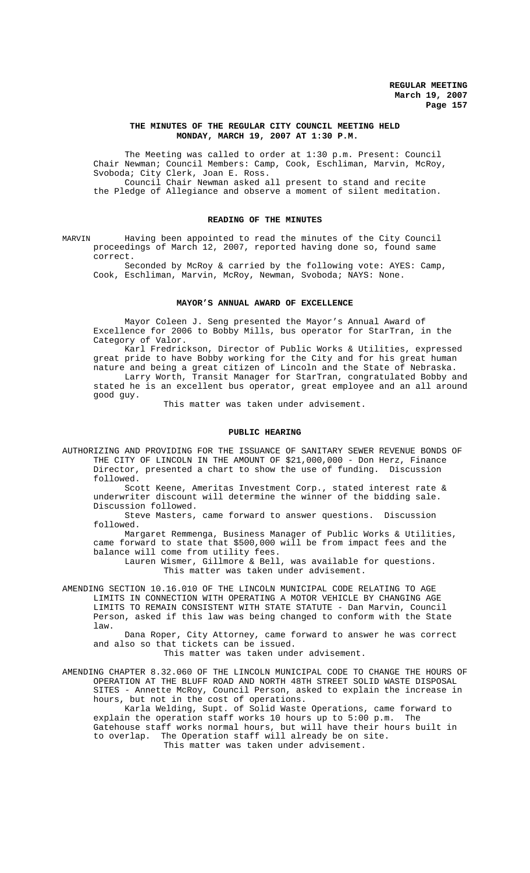### **THE MINUTES OF THE REGULAR CITY COUNCIL MEETING HELD MONDAY, MARCH 19, 2007 AT 1:30 P.M.**

The Meeting was called to order at 1:30 p.m. Present: Council Chair Newman; Council Members: Camp, Cook, Eschliman, Marvin, McRoy, Svoboda; City Clerk, Joan E. Ross. Council Chair Newman asked all present to stand and recite the Pledge of Allegiance and observe a moment of silent meditation.

### **READING OF THE MINUTES**

MARVIN Having been appointed to read the minutes of the City Council proceedings of March 12, 2007, reported having done so, found same correct.

Seconded by McRoy & carried by the following vote: AYES: Camp, Cook, Eschliman, Marvin, McRoy, Newman, Svoboda; NAYS: None.

### **MAYOR'S ANNUAL AWARD OF EXCELLENCE**

Mayor Coleen J. Seng presented the Mayor's Annual Award of Excellence for 2006 to Bobby Mills, bus operator for StarTran, in the Category of Valor.

Karl Fredrickson, Director of Public Works & Utilities, expressed great pride to have Bobby working for the City and for his great human nature and being a great citizen of Lincoln and the State of Nebraska. Larry Worth, Transit Manager for StarTran, congratulated Bobby and stated he is an excellent bus operator, great employee and an all around good guy.

This matter was taken under advisement.

### **PUBLIC HEARING**

AUTHORIZING AND PROVIDING FOR THE ISSUANCE OF SANITARY SEWER REVENUE BONDS OF THE CITY OF LINCOLN IN THE AMOUNT OF \$21,000,000 - Don Herz, Finance Director, presented a chart to show the use of funding. Discussion followed.

Scott Keene, Ameritas Investment Corp., stated interest rate & underwriter discount will determine the winner of the bidding sale. Discussion followed.

Steve Masters, came forward to answer questions. Discussion followed.

Margaret Remmenga, Business Manager of Public Works & Utilities, came forward to state that \$500,000 will be from impact fees and the balance will come from utility fees.

Lauren Wismer, Gillmore & Bell, was available for questions. This matter was taken under advisement.

AMENDING SECTION 10.16.010 OF THE LINCOLN MUNICIPAL CODE RELATING TO AGE LIMITS IN CONNECTION WITH OPERATING A MOTOR VEHICLE BY CHANGING AGE LIMITS TO REMAIN CONSISTENT WITH STATE STATUTE - Dan Marvin, Council Person, asked if this law was being changed to conform with the State law.

Dana Roper, City Attorney, came forward to answer he was correct and also so that tickets can be issued.

This matter was taken under advisement.

AMENDING CHAPTER 8.32.060 OF THE LINCOLN MUNICIPAL CODE TO CHANGE THE HOURS OF OPERATION AT THE BLUFF ROAD AND NORTH 48TH STREET SOLID WASTE DISPOSAL SITES - Annette McRoy, Council Person, asked to explain the increase in hours, but not in the cost of operations.

Karla Welding, Supt. of Solid Waste Operations, came forward to explain the operation staff works 10 hours up to 5:00 p.m. The Gatehouse staff works normal hours, but will have their hours built in to overlap. The Operation staff will already be on site. This matter was taken under advisement.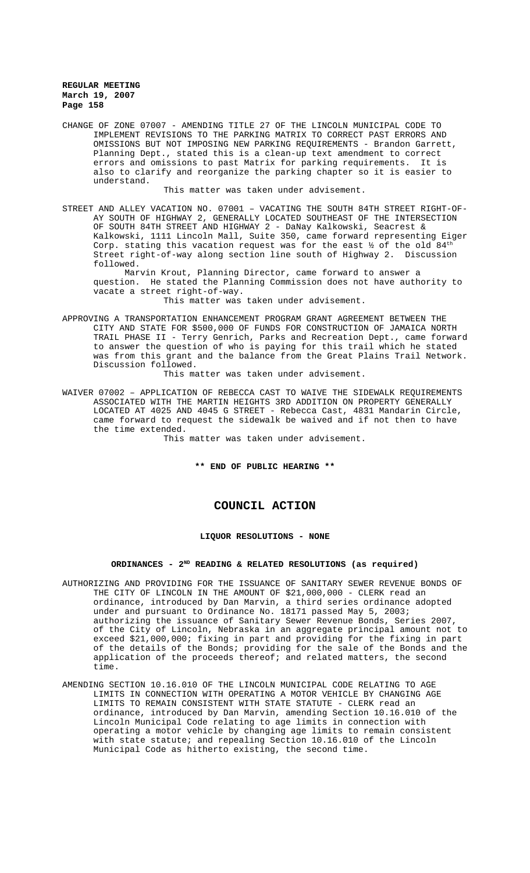CHANGE OF ZONE 07007 - AMENDING TITLE 27 OF THE LINCOLN MUNICIPAL CODE TO IMPLEMENT REVISIONS TO THE PARKING MATRIX TO CORRECT PAST ERRORS AND OMISSIONS BUT NOT IMPOSING NEW PARKING REQUIREMENTS - Brandon Garrett, Planning Dept., stated this is a clean-up text amendment to correct errors and omissions to past Matrix for parking requirements. It is also to clarify and reorganize the parking chapter so it is easier to understand.

This matter was taken under advisement.

STREET AND ALLEY VACATION NO. 07001 – VACATING THE SOUTH 84TH STREET RIGHT-OF-AY SOUTH OF HIGHWAY 2, GENERALLY LOCATED SOUTHEAST OF THE INTERSECTION OF SOUTH 84TH STREET AND HIGHWAY 2 - DaNay Kalkowski, Seacrest & Kalkowski, 1111 Lincoln Mall, Suite 350, came forward representing Eiger Corp. stating this vacation request was for the east  $\frac{1}{2}$  of the old  $84^{\text{th}}$ Street right-of-way along section line south of Highway 2. Discussion followed.

Marvin Krout, Planning Director, came forward to answer a question. He stated the Planning Commission does not have authority to vacate a street right-of-way.

This matter was taken under advisement.

APPROVING A TRANSPORTATION ENHANCEMENT PROGRAM GRANT AGREEMENT BETWEEN THE CITY AND STATE FOR \$500,000 OF FUNDS FOR CONSTRUCTION OF JAMAICA NORTH TRAIL PHASE II - Terry Genrich, Parks and Recreation Dept., came forward to answer the question of who is paying for this trail which he stated was from this grant and the balance from the Great Plains Trail Network. Discussion followed.

This matter was taken under advisement.

WAIVER 07002 – APPLICATION OF REBECCA CAST TO WAIVE THE SIDEWALK REQUIREMENTS ASSOCIATED WITH THE MARTIN HEIGHTS 3RD ADDITION ON PROPERTY GENERALLY LOCATED AT 4025 AND 4045 G STREET - Rebecca Cast, 4831 Mandarin Circle, came forward to request the sidewalk be waived and if not then to have the time extended.

This matter was taken under advisement.

**\*\* END OF PUBLIC HEARING \*\***

# **COUNCIL ACTION**

## **LIQUOR RESOLUTIONS - NONE**

### ORDINANCES - 2<sup>ND</sup> READING & RELATED RESOLUTIONS (as required)

- AUTHORIZING AND PROVIDING FOR THE ISSUANCE OF SANITARY SEWER REVENUE BONDS OF THE CITY OF LINCOLN IN THE AMOUNT OF \$21,000,000 - CLERK read an ordinance, introduced by Dan Marvin, a third series ordinance adopted under and pursuant to Ordinance No. 18171 passed May 5, 2003; authorizing the issuance of Sanitary Sewer Revenue Bonds, Series 2007, of the City of Lincoln, Nebraska in an aggregate principal amount not to exceed \$21,000,000; fixing in part and providing for the fixing in part of the details of the Bonds; providing for the sale of the Bonds and the application of the proceeds thereof; and related matters, the second time.
- AMENDING SECTION 10.16.010 OF THE LINCOLN MUNICIPAL CODE RELATING TO AGE LIMITS IN CONNECTION WITH OPERATING A MOTOR VEHICLE BY CHANGING AGE LIMITS TO REMAIN CONSISTENT WITH STATE STATUTE - CLERK read an ordinance, introduced by Dan Marvin, amending Section 10.16.010 of the Lincoln Municipal Code relating to age limits in connection with operating a motor vehicle by changing age limits to remain consistent with state statute; and repealing Section 10.16.010 of the Lincoln Municipal Code as hitherto existing, the second time.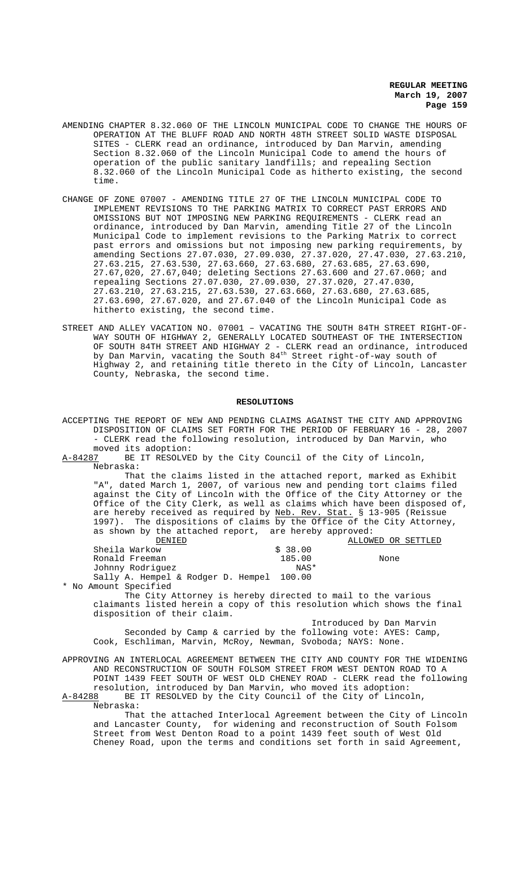- AMENDING CHAPTER 8.32.060 OF THE LINCOLN MUNICIPAL CODE TO CHANGE THE HOURS OF OPERATION AT THE BLUFF ROAD AND NORTH 48TH STREET SOLID WASTE DISPOSAL SITES - CLERK read an ordinance, introduced by Dan Marvin, amending Section 8.32.060 of the Lincoln Municipal Code to amend the hours of operation of the public sanitary landfills; and repealing Section 8.32.060 of the Lincoln Municipal Code as hitherto existing, the second time.
- CHANGE OF ZONE 07007 AMENDING TITLE 27 OF THE LINCOLN MUNICIPAL CODE TO IMPLEMENT REVISIONS TO THE PARKING MATRIX TO CORRECT PAST ERRORS AND OMISSIONS BUT NOT IMPOSING NEW PARKING REQUIREMENTS - CLERK read an ordinance, introduced by Dan Marvin, amending Title 27 of the Lincoln Municipal Code to implement revisions to the Parking Matrix to correct past errors and omissions but not imposing new parking requirements, by amending Sections 27.07.030, 27.09.030, 27.37.020, 27.47.030, 27.63.210, 27.63.215, 27.63.530, 27.63.660, 27.63.680, 27.63.685, 27.63.690, 27.67,020, 27.67,040; deleting Sections 27.63.600 and 27.67.060; and repealing Sections 27.07.030, 27.09.030, 27.37.020, 27.47.030, 27.63.210, 27.63.215, 27.63.530, 27.63.660, 27.63.680, 27.63.685, 27.63.690, 27.67.020, and 27.67.040 of the Lincoln Municipal Code as hitherto existing, the second time.
- STREET AND ALLEY VACATION NO. 07001 VACATING THE SOUTH 84TH STREET RIGHT-OF-WAY SOUTH OF HIGHWAY 2, GENERALLY LOCATED SOUTHEAST OF THE INTERSECTION OF SOUTH 84TH STREET AND HIGHWAY 2 - CLERK read an ordinance, introduced by Dan Marvin, vacating the South  $84^{\rm th}$  Street right-of-way south of Highway 2, and retaining title thereto in the City of Lincoln, Lancaster County, Nebraska, the second time.

### **RESOLUTIONS**

ACCEPTING THE REPORT OF NEW AND PENDING CLAIMS AGAINST THE CITY AND APPROVING DISPOSITION OF CLAIMS SET FORTH FOR THE PERIOD OF FEBRUARY 16 - 28, 2007 - CLERK read the following resolution, introduced by Dan Marvin, who moved its adoption:

A-84287 BE IT RESOLVED by the City Council of the City of Lincoln, Nebraska:

That the claims listed in the attached report, marked as Exhibit "A", dated March 1, 2007, of various new and pending tort claims filed against the City of Lincoln with the Office of the City Attorney or the Office of the City Clerk, as well as claims which have been disposed of, are hereby received as required by Neb. Rev. Stat. § 13-905 (Reissue 1997). The dispositions of claims by the Office of the City Attorney, as shown by the attached report, are hereby approved:<br><u>DENIED</u> **ELLOWED OR SETTLED**<br>\$ 38.00 Sheila Warkow  $\frac{185.00}{185.00}$ Ronald Freeman 185.00 None<br>Johnny Rodriquez MAS\* NAS\* Johnny Rodriguez Sally A. Hempel & Rodger D. Hempel 100.00

\* No Amount Specified

The City Attorney is hereby directed to mail to the various claimants listed herein a copy of this resolution which shows the final disposition of their claim.

Introduced by Dan Marvin Seconded by Camp & carried by the following vote: AYES: Camp, Cook, Eschliman, Marvin, McRoy, Newman, Svoboda; NAYS: None.

APPROVING AN INTERLOCAL AGREEMENT BETWEEN THE CITY AND COUNTY FOR THE WIDENING AND RECONSTRUCTION OF SOUTH FOLSOM STREET FROM WEST DENTON ROAD TO A POINT 1439 FEET SOUTH OF WEST OLD CHENEY ROAD - CLERK read the following resolution, introduced by Dan Marvin, who moved its adoption: A-84288 BE IT RESOLVED by the City Council of the City of Lincoln, Nebraska:

That the attached Interlocal Agreement between the City of Lincoln and Lancaster County, for widening and reconstruction of South Folsom Street from West Denton Road to a point 1439 feet south of West Old Cheney Road, upon the terms and conditions set forth in said Agreement,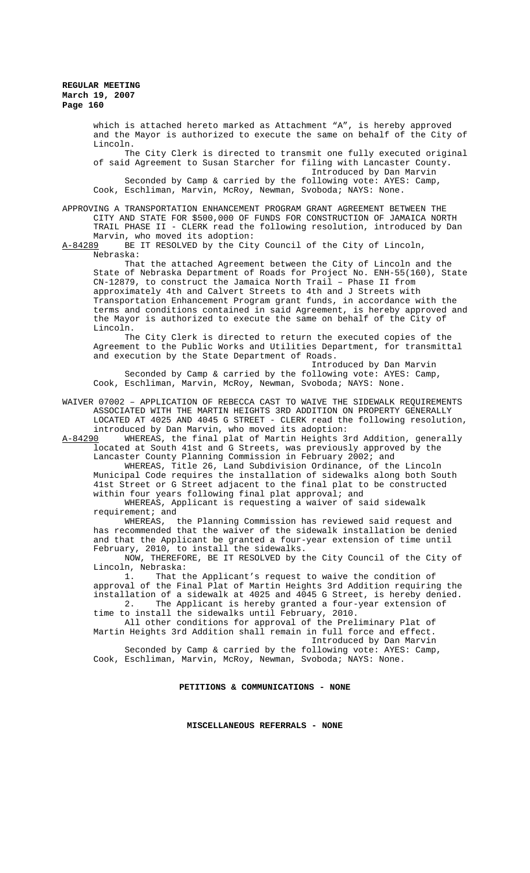which is attached hereto marked as Attachment "A", is hereby approved and the Mayor is authorized to execute the same on behalf of the City of Lincoln. The City Clerk is directed to transmit one fully executed original of said Agreement to Susan Starcher for filing with Lancaster County. Introduced by Dan Marvin Seconded by Camp & carried by the following vote: AYES: Camp, Cook, Eschliman, Marvin, McRoy, Newman, Svoboda; NAYS: None.

APPROVING A TRANSPORTATION ENHANCEMENT PROGRAM GRANT AGREEMENT BETWEEN THE CITY AND STATE FOR \$500,000 OF FUNDS FOR CONSTRUCTION OF JAMAICA NORTH TRAIL PHASE II - CLERK read the following resolution, introduced by Dan Marvin, who moved its adoption:<br>A-84289 BE IT RESOLVED by the Cit

BE IT RESOLVED by the City Council of the City of Lincoln, Nebraska:

That the attached Agreement between the City of Lincoln and the State of Nebraska Department of Roads for Project No. ENH-55(160), State CN-12879, to construct the Jamaica North Trail – Phase II from approximately 4th and Calvert Streets to 4th and J Streets with Transportation Enhancement Program grant funds, in accordance with the terms and conditions contained in said Agreement, is hereby approved and the Mayor is authorized to execute the same on behalf of the City of Lincoln.

The City Clerk is directed to return the executed copies of the Agreement to the Public Works and Utilities Department, for transmittal and execution by the State Department of Roads.

Introduced by Dan Marvin Seconded by Camp & carried by the following vote: AYES: Camp, Cook, Eschliman, Marvin, McRoy, Newman, Svoboda; NAYS: None.

WAIVER 07002 – APPLICATION OF REBECCA CAST TO WAIVE THE SIDEWALK REQUIREMENTS ASSOCIATED WITH THE MARTIN HEIGHTS 3RD ADDITION ON PROPERTY GENERALLY LOCATED AT 4025 AND 4045 G STREET - CLERK read the following resolution, introduced by Dan Marvin, who moved its adoption:<br>A-84290 WHEREAS, the final plat of Martin Heights 3

WHEREAS, the final plat of Martin Heights 3rd Addition, generally located at South 41st and G Streets, was previously approved by the Lancaster County Planning Commission in February 2002; and

WHEREAS, Title 26, Land Subdivision Ordinance, of the Lincoln Municipal Code requires the installation of sidewalks along both South 41st Street or G Street adjacent to the final plat to be constructed within four years following final plat approval; and

WHEREAS, Applicant is requesting a waiver of said sidewalk requirement; and

WHEREAS, the Planning Commission has reviewed said request and has recommended that the waiver of the sidewalk installation be denied and that the Applicant be granted a four-year extension of time until February, 2010, to install the sidewalks.

NOW, THEREFORE, BE IT RESOLVED by the City Council of the City of Lincoln, Nebraska:

1. That the Applicant's request to waive the condition of approval of the Final Plat of Martin Heights 3rd Addition requiring the installation of a sidewalk at 4025 and 4045 G Street, is hereby denied.<br>2. The Applicant is hereby granted a four-year extension of The Applicant is hereby granted a four-year extension of time to install the sidewalks until February, 2010.

All other conditions for approval of the Preliminary Plat of Martin Heights 3rd Addition shall remain in full force and effect. Introduced by Dan Marvin

Seconded by Camp & carried by the following vote: AYES: Camp, Cook, Eschliman, Marvin, McRoy, Newman, Svoboda; NAYS: None.

## **PETITIONS & COMMUNICATIONS - NONE**

**MISCELLANEOUS REFERRALS - NONE**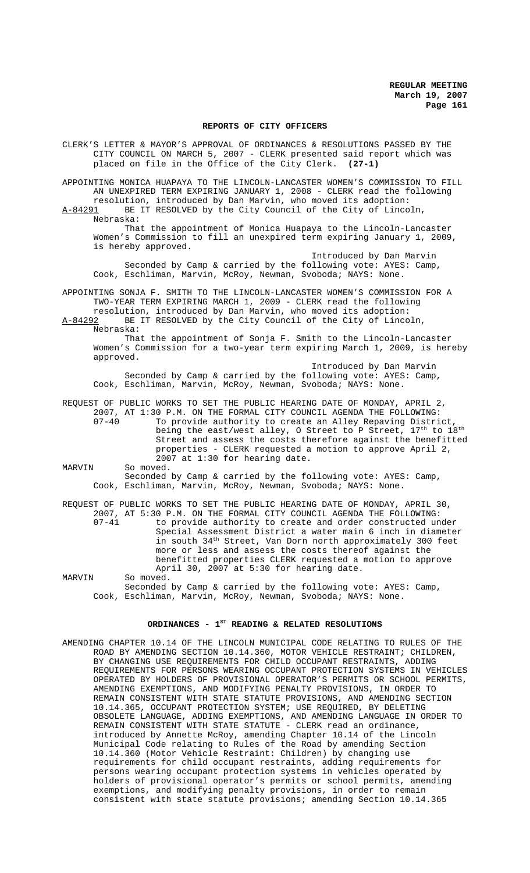### **REPORTS OF CITY OFFICERS**

CLERK'S LETTER & MAYOR'S APPROVAL OF ORDINANCES & RESOLUTIONS PASSED BY THE CITY COUNCIL ON MARCH 5, 2007 - CLERK presented said report which was placed on file in the Office of the City Clerk. **(27-1)**

APPOINTING MONICA HUAPAYA TO THE LINCOLN-LANCASTER WOMEN'S COMMISSION TO FILL AN UNEXPIRED TERM EXPIRING JANUARY 1, 2008 - CLERK read the following

resolution, introduced by Dan Marvin, who moved its adoption:<br>A-84291 BE IT RESOLVED by the City Council of the City of Linco BE IT RESOLVED by the City Council of the City of Lincoln, Nebraska:

That the appointment of Monica Huapaya to the Lincoln-Lancaster Women's Commission to fill an unexpired term expiring January 1, 2009, is hereby approved.

Introduced by Dan Marvin Seconded by Camp & carried by the following vote: AYES: Camp, Cook, Eschliman, Marvin, McRoy, Newman, Svoboda; NAYS: None.

APPOINTING SONJA F. SMITH TO THE LINCOLN-LANCASTER WOMEN'S COMMISSION FOR A TWO-YEAR TERM EXPIRING MARCH 1, 2009 - CLERK read the following resolution, introduced by Dan Marvin, who moved its adoption:

A-84292 BE IT RESOLVED by the City Council of the City of Lincoln, Nebraska:

That the appointment of Sonja F. Smith to the Lincoln-Lancaster Women's Commission for a two-year term expiring March 1, 2009, is hereby approved.

Introduced by Dan Marvin Seconded by Camp & carried by the following vote: AYES: Camp, Cook, Eschliman, Marvin, McRoy, Newman, Svoboda; NAYS: None.

REQUEST OF PUBLIC WORKS TO SET THE PUBLIC HEARING DATE OF MONDAY, APRIL 2, 2007, AT 1:30 P.M. ON THE FORMAL CITY COUNCIL AGENDA THE FOLLOWING:<br>07-40 To provide authority to create an Alley Repaying Distri To provide authority to create an Alley Repaving District being the east/west alley, O Street to P Street,  $17<sup>th</sup>$  to  $18<sup>th</sup>$ Street and assess the costs therefore against the benefitted properties - CLERK requested a motion to approve April 2, 2007 at 1:30 for hearing date. MARVIN So moved.

Seconded by Camp & carried by the following vote: AYES: Camp, Cook, Eschliman, Marvin, McRoy, Newman, Svoboda; NAYS: None.

|        | REQUEST OF PUBLIC WORKS TO SET THE PUBLIC HEARING DATE OF MONDAY, APRIL 30, |
|--------|-----------------------------------------------------------------------------|
|        | 2007, AT 5:30 P.M. ON THE FORMAL CITY COUNCIL AGENDA THE FOLLOWING:         |
| 07-41  | to provide authority to create and order constructed under                  |
|        | Special Assessment District a water main 6 inch in diameter                 |
|        | in south 34 <sup>th</sup> Street, Van Dorn north approximately 300 feet     |
|        | more or less and assess the costs thereof against the                       |
|        | benefitted properties CLERK requested a motion to approve                   |
|        | April 30, 2007 at 5:30 for hearing date.                                    |
| MARVIN | So moved.                                                                   |

Seconded by Camp & carried by the following vote: AYES: Camp, Cook, Eschliman, Marvin, McRoy, Newman, Svoboda; NAYS: None.

# ORDINANCES - 1<sup>st</sup> READING & RELATED RESOLUTIONS

AMENDING CHAPTER 10.14 OF THE LINCOLN MUNICIPAL CODE RELATING TO RULES OF THE ROAD BY AMENDING SECTION 10.14.360, MOTOR VEHICLE RESTRAINT; CHILDREN, BY CHANGING USE REQUIREMENTS FOR CHILD OCCUPANT RESTRAINTS, ADDING REQUIREMENTS FOR PERSONS WEARING OCCUPANT PROTECTION SYSTEMS IN VEHICLES OPERATED BY HOLDERS OF PROVISIONAL OPERATOR'S PERMITS OR SCHOOL PERMITS, AMENDING EXEMPTIONS, AND MODIFYING PENALTY PROVISIONS, IN ORDER TO REMAIN CONSISTENT WITH STATE STATUTE PROVISIONS, AND AMENDING SECTION 10.14.365, OCCUPANT PROTECTION SYSTEM; USE REQUIRED, BY DELETING OBSOLETE LANGUAGE, ADDING EXEMPTIONS, AND AMENDING LANGUAGE IN ORDER TO REMAIN CONSISTENT WITH STATE STATUTE - CLERK read an ordinance, introduced by Annette McRoy, amending Chapter 10.14 of the Lincoln Municipal Code relating to Rules of the Road by amending Section 10.14.360 (Motor Vehicle Restraint: Children) by changing use requirements for child occupant restraints, adding requirements for persons wearing occupant protection systems in vehicles operated by holders of provisional operator's permits or school permits, amending exemptions, and modifying penalty provisions, in order to remain consistent with state statute provisions; amending Section 10.14.365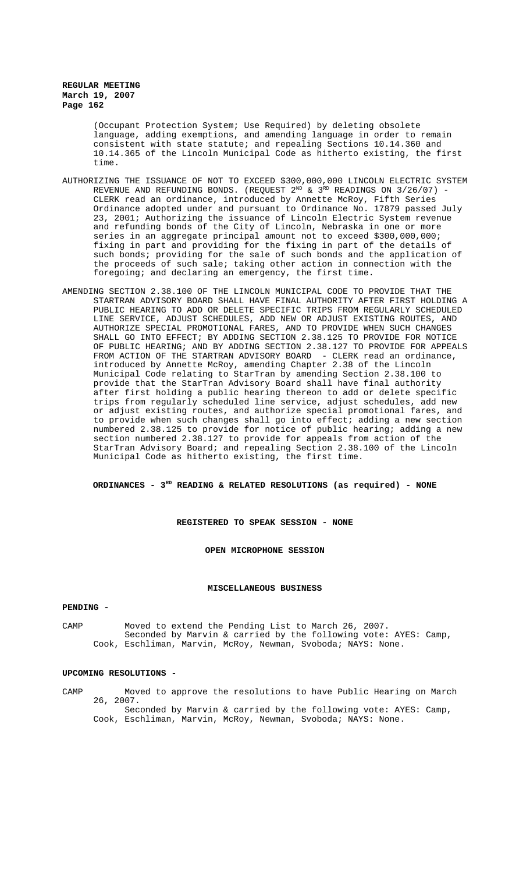> (Occupant Protection System; Use Required) by deleting obsolete language, adding exemptions, and amending language in order to remain consistent with state statute; and repealing Sections 10.14.360 and 10.14.365 of the Lincoln Municipal Code as hitherto existing, the first time.

- AUTHORIZING THE ISSUANCE OF NOT TO EXCEED \$300,000,000 LINCOLN ELECTRIC SYSTEM REVENUE AND REFUNDING BONDS. (REQUEST  $2^{ND}$  &  $3^{RD}$  READINGS ON  $3/26/07$ ) -CLERK read an ordinance, introduced by Annette McRoy, Fifth Series Ordinance adopted under and pursuant to Ordinance No. 17879 passed July 23, 2001; Authorizing the issuance of Lincoln Electric System revenue and refunding bonds of the City of Lincoln, Nebraska in one or more series in an aggregate principal amount not to exceed \$300,000,000; fixing in part and providing for the fixing in part of the details of such bonds; providing for the sale of such bonds and the application of the proceeds of such sale; taking other action in connection with the foregoing; and declaring an emergency, the first time.
- AMENDING SECTION 2.38.100 OF THE LINCOLN MUNICIPAL CODE TO PROVIDE THAT THE STARTRAN ADVISORY BOARD SHALL HAVE FINAL AUTHORITY AFTER FIRST HOLDING A PUBLIC HEARING TO ADD OR DELETE SPECIFIC TRIPS FROM REGULARLY SCHEDULED LINE SERVICE, ADJUST SCHEDULES, ADD NEW OR ADJUST EXISTING ROUTES, AND AUTHORIZE SPECIAL PROMOTIONAL FARES, AND TO PROVIDE WHEN SUCH CHANGES SHALL GO INTO EFFECT; BY ADDING SECTION 2.38.125 TO PROVIDE FOR NOTICE OF PUBLIC HEARING; AND BY ADDING SECTION 2.38.127 TO PROVIDE FOR APPEALS FROM ACTION OF THE STARTRAN ADVISORY BOARD - CLERK read an ordinance, introduced by Annette McRoy, amending Chapter 2.38 of the Lincoln Municipal Code relating to StarTran by amending Section 2.38.100 to provide that the StarTran Advisory Board shall have final authority after first holding a public hearing thereon to add or delete specific trips from regularly scheduled line service, adjust schedules, add new or adjust existing routes, and authorize special promotional fares, and to provide when such changes shall go into effect; adding a new section numbered 2.38.125 to provide for notice of public hearing; adding a new section numbered 2.38.127 to provide for appeals from action of the StarTran Advisory Board; and repealing Section 2.38.100 of the Lincoln Municipal Code as hitherto existing, the first time.

**ORDINANCES - 3RD READING & RELATED RESOLUTIONS (as required) - NONE**

### **REGISTERED TO SPEAK SESSION - NONE**

**OPEN MICROPHONE SESSION**

### **MISCELLANEOUS BUSINESS**

### **PENDING -**

CAMP Moved to extend the Pending List to March 26, 2007. Seconded by Marvin & carried by the following vote: AYES: Camp, Cook, Eschliman, Marvin, McRoy, Newman, Svoboda; NAYS: None.

### **UPCOMING RESOLUTIONS -**

- CAMP Moved to approve the resolutions to have Public Hearing on March 26, 2007. Seconded by Marvin & carried by the following vote: AYES: Camp,
	- Cook, Eschliman, Marvin, McRoy, Newman, Svoboda; NAYS: None.